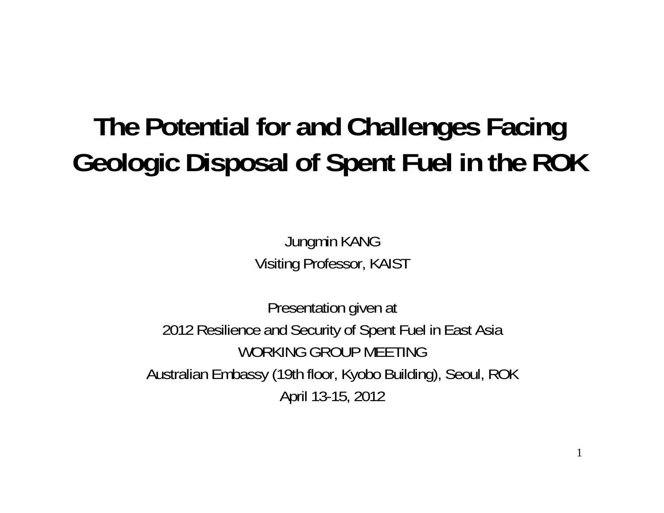### **The Potential for and Challenges Facing Geologic Disposal of Spent Fuel in the ROK**

Jungmin KANG Visiting Professor, KAIST

Presentation given at 2012 Resilience and Security of Spent Fuel in East Asia WORKING GROUP MEETING Australian Embassy (19th floor, Kyobo Building), Seoul, ROK April 13-15, 2012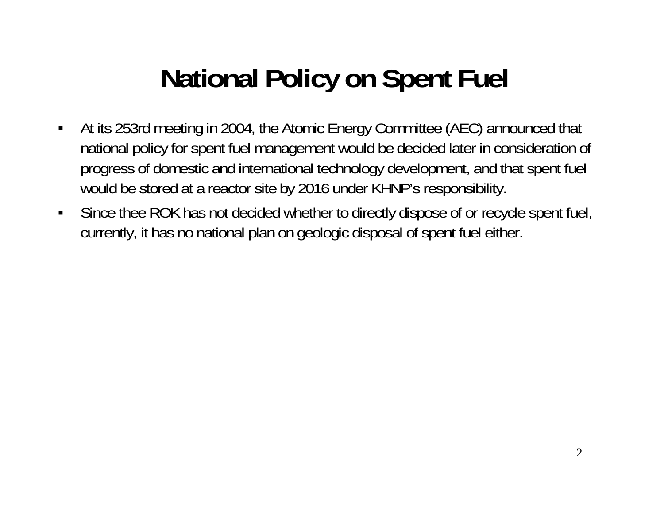# **National Policy on Spent Fuel**

- $\blacksquare$  At its 253rd meeting in 2004, the Atomic Energy Committee (AEC) announced that national policy for spent fuel management would be decided later in consideration of progress of domestic and international technology development, and that spent fuel would be stored at a reactor site by 2016 under KHNP's responsibility.
- $\blacksquare$  Since thee ROK has not decided whether to directly dispose of or recycle spent fuel, currently, it has no national plan on geologic disposal of spent fuel either.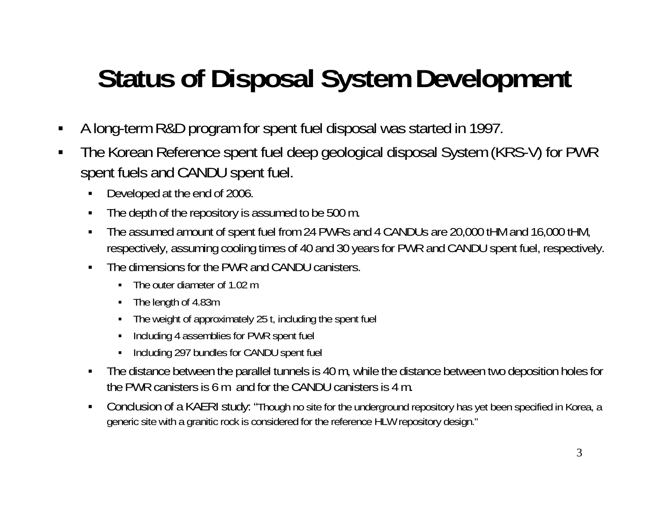- $\blacksquare$ A long-term R&D program for spent fuel disposal was started in 1997.
- $\blacksquare$  The Korean Reference spent fuel deep geological disposal System (KRS-V) for PWR spent fuels and CANDU spent fuel.
	- F Developed at the end of 2006.
	- F The depth of the repository is assumed to be 500 m.
	- F The assumed amount of spent fuel from 24 PWRs and 4 CANDUs are 20,000 tHM and 16,000 tHM, respectively, assuming cooling times of 40 and 30 years for PWR and CANDU spent fuel, respectively.
	- F The dimensions for the PWR and CANDU canisters.
		- The outer diameter of 1.02 m
		- The length of 4.83m
		- The weight of approximately 25 t, including the spent fuel
		- Including 4 assemblies for PWR spent fuel
		- **-** Including 297 bundles for CANDU spent fuel
	- $\blacksquare$  The distance between the parallel tunnels is 40 m, while the distance between two deposition holes for the PWR canisters is 6 m and for the CANDU canisters is 4 m.
	- F Conclusion of a KAERI study: "Though no site for the underground repository has yet been specified in Korea, a generic site with a granitic rock is considered for the reference HLW repository design."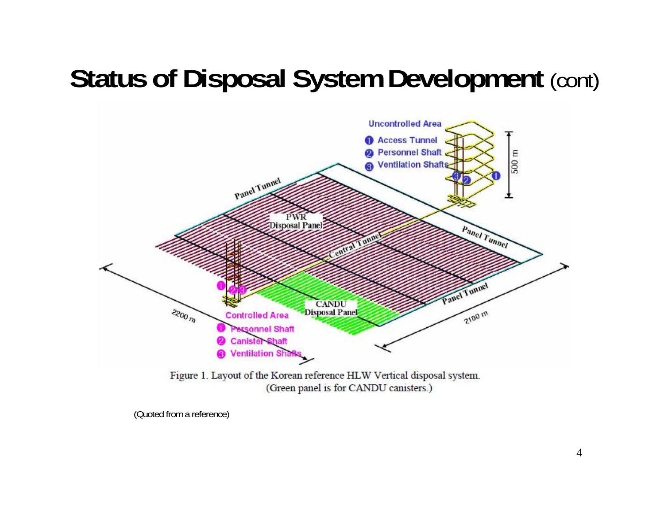

<sup>(</sup>Quoted from a reference)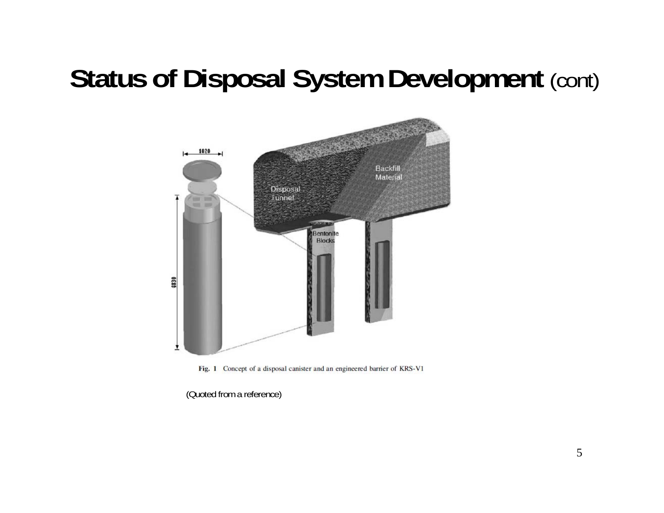

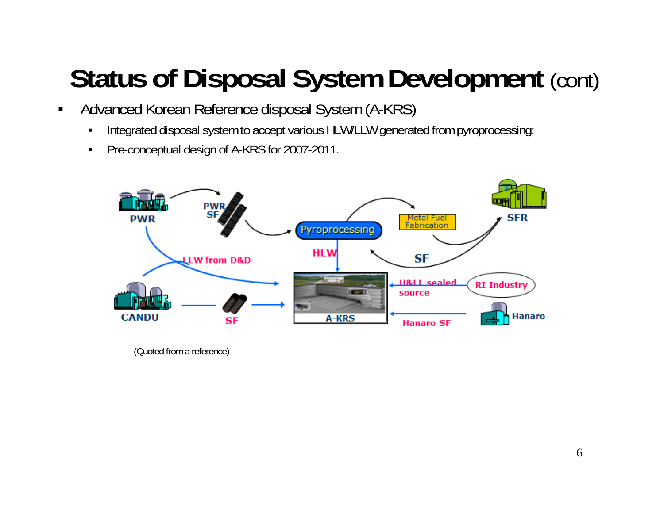- $\blacksquare$  Advanced Korean Reference disposal System (A-KRS)
	- $\blacksquare$ Integrated disposal system to accept various HLW/LLW generated from pyroprocessing;
	- F Pre-conceptual design of A-KRS for 2007-2011.

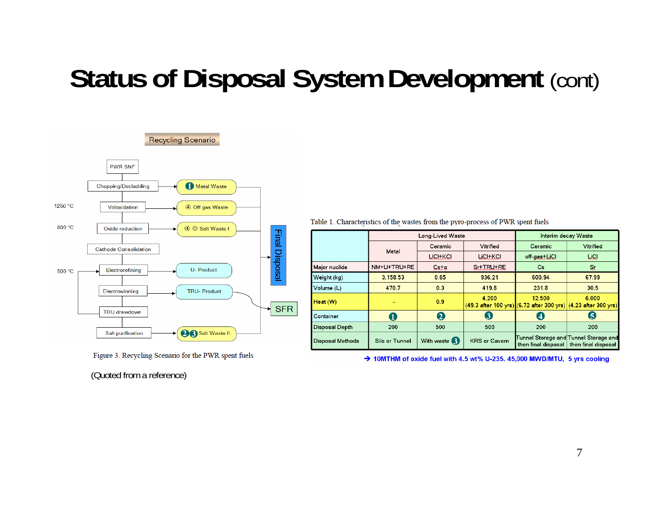

Figure 3. Recycling Scenario for the PWR spent fuels

(Quoted from a reference)

Table 1. Characteristics of the wastes from the pyro-process of PWR spent fuels

|                  | Long-Lived Waste |                |                      | Interim decay Waste                                                      |                                         |
|------------------|------------------|----------------|----------------------|--------------------------------------------------------------------------|-----------------------------------------|
|                  |                  | Ceramic        | Vitrified            | Ceramic                                                                  | Vitrified                               |
|                  | Metal            | <b>LICHKCI</b> | LiCHKCI              | off-gas+LiCl                                                             | LiCI                                    |
| Major nuclide    | NM+U+TRU+RE      | Cate           | Sr+TRU+RE            | Cs                                                                       | Sr.                                     |
| Weight (kg)      | 3.158.53         | 0.65           | 936.21               | 600.94                                                                   | 67.99                                   |
| Volume (L)       | 470.7            | 0.3            | 419.8                | 231.8                                                                    | 30.5                                    |
| Heat (W)         |                  | 0.9            | 4.200                | 12.500<br>(49.3 after 100 yrs) (6.72 after 300 yrs) (4.23 after 300 yrs) | 6.000                                   |
| Container        | 0                | Ø              | 3                    | d)                                                                       | 6                                       |
| Disposal Depth   | 200              | 500            | 500                  | 200                                                                      | 200                                     |
| Disposal Methods | Silo or Tunnel   | With waste     | <b>KRS</b> or Cavern | Tunnel Storage and Tunnel Storage and                                    | then final disposal then final disposal |

→ 10MTHM of oxide fuel with 4.5 wt% U-235, 45,000 MWD/MTU, 5 yrs cooling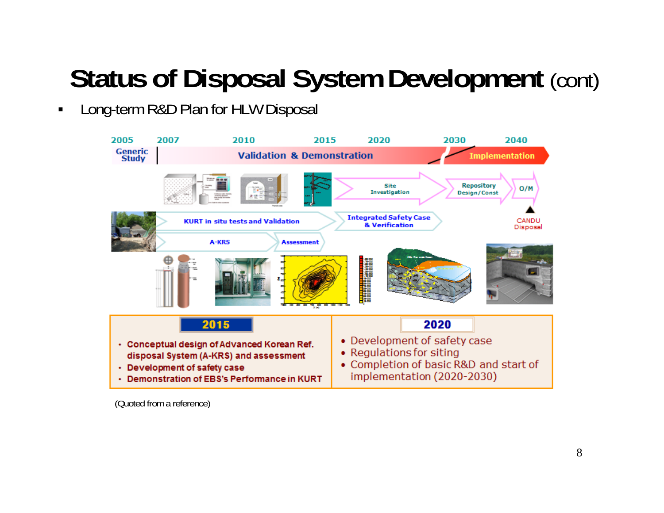$\blacksquare$ Long-term R&D Plan for HLW Disposal

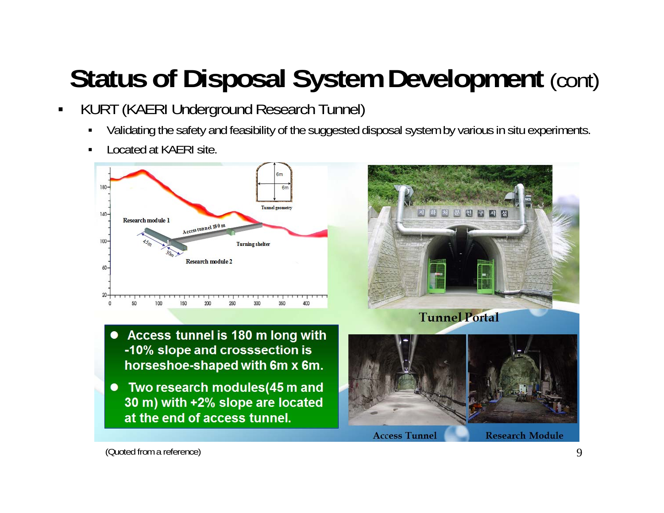- $\blacksquare$  KURT (KAERI Underground Research Tunnel)
	- F Validating the safety and feasibility of the suggested disposal system by various in situ experiments.
	- F Located at KAERI site.



- Access tunnel is 180 m long with -10% slope and crosssection is horseshoe-shaped with 6m x 6m.
- Two research modules (45 m and 30 m) with +2% slope are located at the end of access tunnel.





**Access Tunnel** 

**Research Module**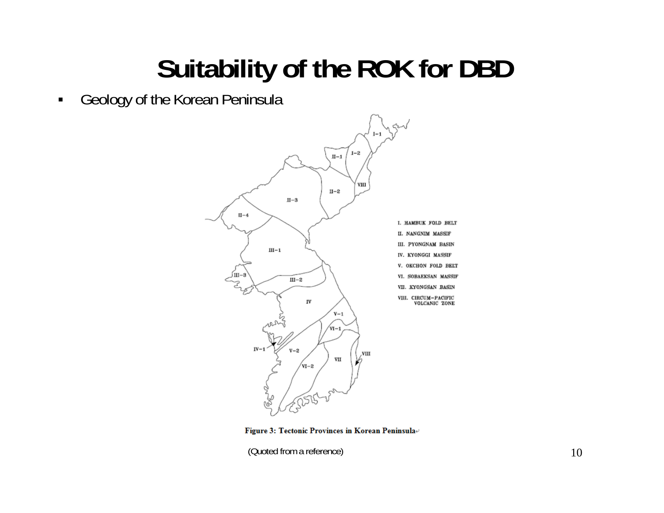## **Suitability of the ROK for DBD**

 $\blacksquare$ Geology of the Korean Peninsula



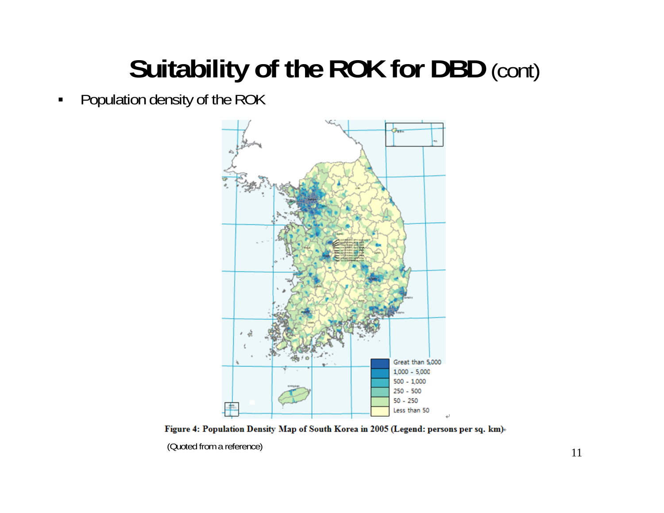## **Suitability of the ROK for DBD (cont)**

 $\blacksquare$ Population density of the ROK



Figure 4: Population Density Map of South Korea in 2005 (Legend: persons per sq. km).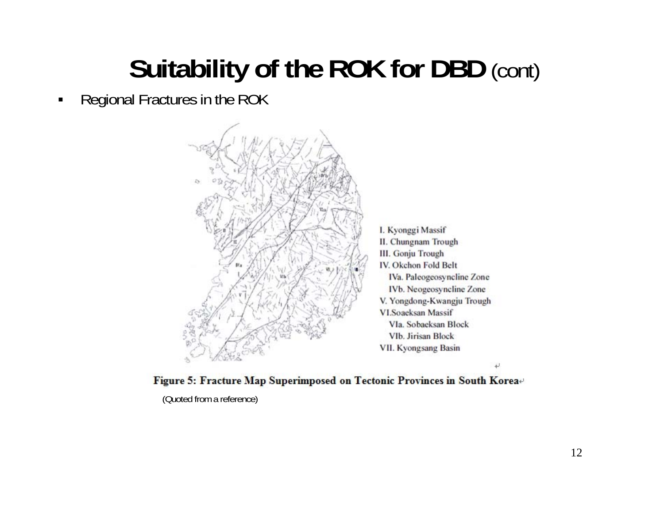#### **Suitability of the ROK for DBD** (cont)

 $\blacksquare$ Regional Fractures in the ROK



Figure 5: Fracture Map Superimposed on Tectonic Provinces in South Korea-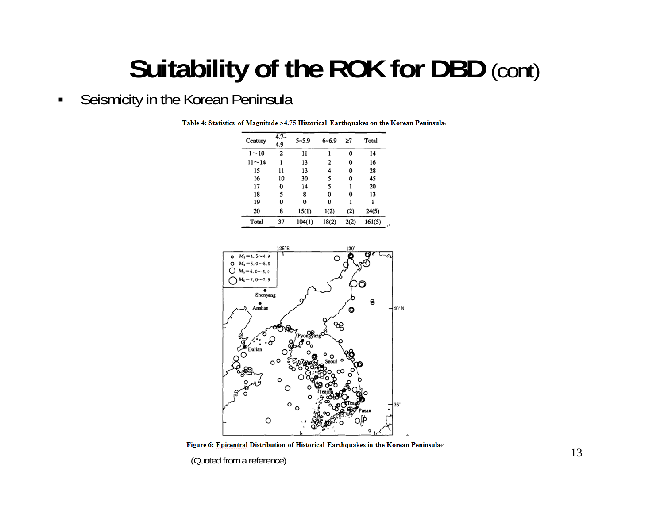#### **Suitability of the ROK for DBD** (cont)

 $\blacksquare$ Seismicity in the Korean Peninsula

| Century   | $4.7-$<br>4.9 | $5 - 5.9$ | $6 - 6.9$ | $\geq$ | Total  |
|-----------|---------------|-----------|-----------|--------|--------|
| $1 - 10$  | 2             | 11        |           | 0      | 14     |
| $11 - 14$ | ı             | 13        | 2         | 0      | 16     |
| 15        | 11            | 13        | 4         | 0      | 28     |
| 16        | 10            | 30        | 5         | 0      | 45     |
| 17        | 0             | 14        | 5         | 1      | 20     |
| 18        | 5             | 8         | 0         | 0      | 13     |
| 19        | 0             | 0         | 0         | ı      |        |
| 20        | 8             | 15(1)     | 1(2)      | (2)    | 24(5)  |
| Total     | 37            | 104(1)    | 18(2)     | 2(2)   | 161(5) |

Table 4: Statistics of Magnitude >4.75 Historical Earthquakes on the Korean Peninsula+



Figure 6: Epicentral Distribution of Historical Earthquakes in the Korean Peninsulae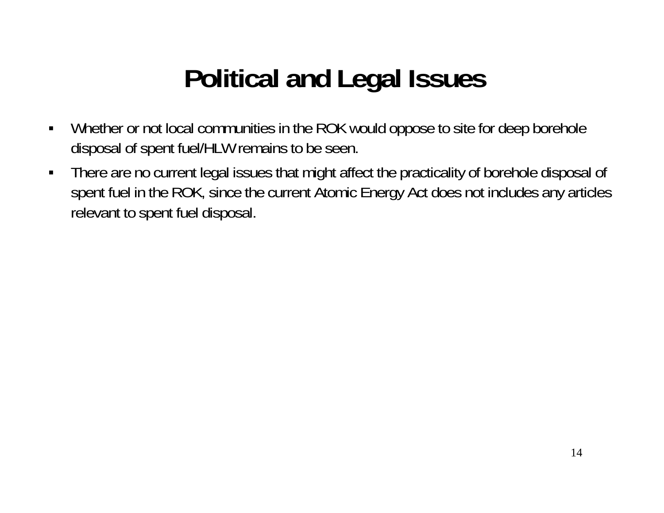# **Political and Legal Issues**

- $\blacksquare$  Whether or not local communities in the ROK would oppose to site for deep borehole disposal of spent fuel/HLW remains to be seen.
- $\blacksquare$  There are no current legal issues that might affect the practicality of borehole disposal of spent fuel in the ROK, since the current Atomic Energy Act does not includes any articles relevant to spent fuel disposal.